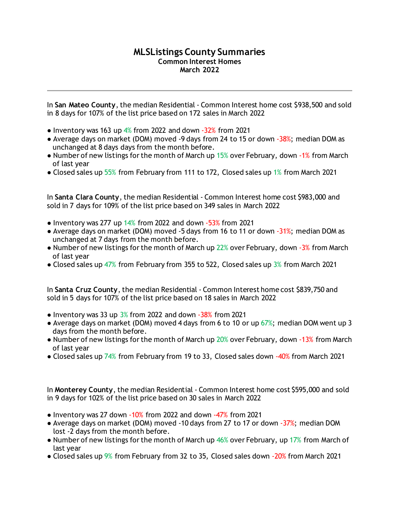## **MLSListings County Summaries Common Interest Homes March 2022**

In **San Mateo County**, the median Residential - Common Interest home cost \$938,500 and sold in 8 days for 107% of the list price based on 172 sales in March 2022

- $\bullet$  Inventory was 163 up 4% from 2022 and down -32% from 2021
- Average days on market (DOM) moved -9 days from 24 to 15 or down -38%; median DOM as unchanged at 8 days days from the month before.
- Number of new listings for the month of March up 15% over February, down -1% from March of last year
- Closed sales up 55% from February from 111 to 172, Closed sales up 1% from March 2021

In **Santa Clara County**, the median Residential - Common Interest home cost \$983,000 and sold in 7 days for 109% of the list price based on 349 sales in March 2022

- $\bullet$  Inventory was 277 up 14% from 2022 and down  $-53%$  from 2021
- Average days on market (DOM) moved -5 days from 16 to 11 or down -31%; median DOM as unchanged at 7 days from the month before.
- Number of new listings for the month of March up  $22\%$  over February, down -3% from March of last year
- Closed sales up 47% from February from 355 to 522, Closed sales up 3% from March 2021

In **Santa Cruz County**, the median Residential - Common Interest home cost \$839,750 and sold in 5 days for 107% of the list price based on 18 sales in March 2022

- Inventory was 33 up  $3\%$  from 2022 and down  $-38\%$  from 2021
- Average days on market (DOM) moved 4 days from 6 to 10 or up 67%; median DOM went up 3 days from the month before.
- Number of new listings for the month of March up 20% over February, down -13% from March of last year
- Closed sales up 74% from February from 19 to 33, Closed sales down -40% from March 2021

In **Monterey County**, the median Residential - Common Interest home cost \$595,000 and sold in 9 days for 102% of the list price based on 30 sales in March 2022

- $\bullet$  Inventory was 27 down  $-10\%$  from 2022 and down  $-47\%$  from 2021
- Average days on market (DOM) moved -10 days from 27 to 17 or down -37%; median DOM lost -2 days from the month before.
- Number of new listings for the month of March up  $46\%$  over February, up 17% from March of last year
- Closed sales up 9% from February from 32 to 35, Closed sales down -20% from March 2021